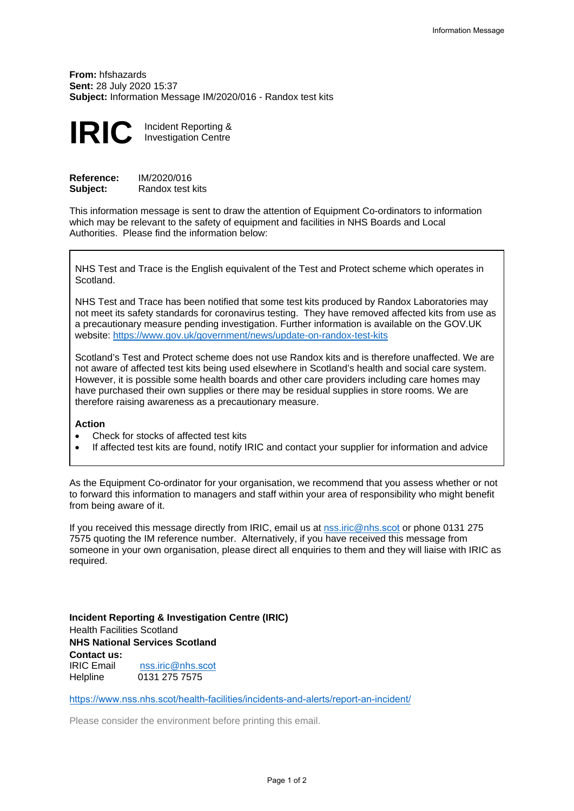**From:** hfshazards **Sent:** 28 July 2020 15:37 **Subject:** Information Message IM/2020/016 - Randox test kits



| <b>Reference:</b> | IM/2020/016      |
|-------------------|------------------|
| Subject:          | Randox test kits |

This information message is sent to draw the attention of Equipment Co-ordinators to information which may be relevant to the safety of equipment and facilities in NHS Boards and Local Authorities. Please find the information below:

NHS Test and Trace is the English equivalent of the Test and Protect scheme which operates in Scotland.

NHS Test and Trace has been notified that some test kits produced by Randox Laboratories may not meet its safety standards for coronavirus testing. They have removed affected kits from use as a precautionary measure pending investigation. Further information is available on the GOV.UK website:<https://www.gov.uk/government/news/update-on-randox-test-kits>

Scotland's Test and Protect scheme does not use Randox kits and is therefore unaffected. We are not aware of affected test kits being used elsewhere in Scotland's health and social care system. However, it is possible some health boards and other care providers including care homes may have purchased their own supplies or there may be residual supplies in store rooms. We are therefore raising awareness as a precautionary measure.

## **Action**

- Check for stocks of affected test kits
- If affected test kits are found, notify IRIC and contact your supplier for information and advice

As the Equipment Co-ordinator for your organisation, we recommend that you assess whether or not to forward this information to managers and staff within your area of responsibility who might benefit from being aware of it.

If you received this message directly from IRIC, email us at [nss.iric@nhs.](mailto:nss.iric@nhs.scot)scot or phone 0131 275 7575 quoting the IM reference number. Alternatively, if you have received this message from someone in your own organisation, please direct all enquiries to them and they will liaise with IRIC as required.

**Incident Reporting & Investigation Centre (IRIC)**  Health Facilities Scotland **NHS National Services Scotland Contact us:** IRIC Email **Helpline** [nss.iric@nhs.](mailto:nss.iric@nhs.scot)scot 0131 275 7575

<https://www.nss.nhs.scot/health-facilities/incidents-and-alerts/report-an-incident/>

Please consider the environment before printing this email.